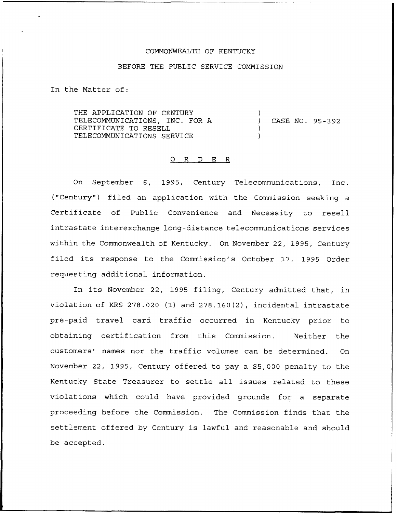## COMMONWEALTH OF KENTUCKY

## BEFORE THE PUBLIC SERVICE COMMISSION

In the Matter of:

THE APPLICATION OF CENTURY TELECOMMUNICATIONS, INC. FOR A CERTIFICATE TO RESELL TELECOMMUNICATIONS SERVICE ) ) CASE NO. 95 —3 92 ) )

## 0 R <sup>D</sup> E <sup>R</sup>

On September 6, 1995, Century Telecommunications, Inc. ("Century") filed an application with the Commission seeking a Certificate of Public Convenience and Necessity to resell intrastate interexchange long-distance telecommunications services within the Commonwealth of Kentucky. On November 22, 1995, Century filed its response to the Commission's October 17, 1995 Order requesting additional information.

In its November 22, 1995 filing, Century admitted that, in violation of KRS 278.020 (1) and 278.160(2), incidental intrastate pre-paid travel card traffic occurred in Kentucky prior to obtaining certification from this Commission. Neither the customers' names nor the traffic volumes can be determined. On November 22, 1995, Century offered to pay a \$5,000 penalty to the Kentucky State Treasurer to settle all issues related to these violations which could have provided grounds for a separate proceeding before the Commission. The Commission finds that the settlement offered by Century is lawful and reasonable and should be accepted.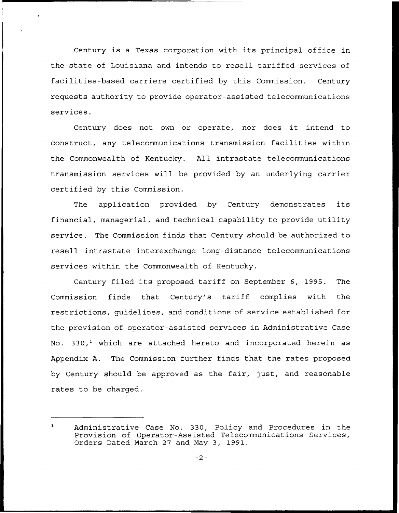Century is a Texas corporation with its principal office in the state of Louisiana and intends to resell tariffed services of facilities-based carriers certified by this Commission. Century requests authority to provide operator-assisted telecommunications services.

Century does not own or operate, nor does it intend to construct, any telecommunications transmission facilities within the Commonwealth of Kentucky. All intrastate telecommunications transmission services will be provided by an underlying carrier certified by this Commission.

The application provided by Century demonstrates its financial, managerial, and technical capability to provide utility service. The Commission finds that Century should be authorized to resell intrastate interexchange long-distance telecommunications services within the Commonwealth of Kentucky.

Century filed its proposed tariff on September 6, 1995. The Commission finds that Century's tariff complies with the restrictions, guidelines, and conditions of service established for the provision of operator-assisted services in Administrative Case No. 330,<sup>1</sup> which are attached hereto and incorporated herein as Appendix A. The Commission further finds that the rates proposed by Century should be approved as the fair, just, and reasonable rates to be charged.

 $\mathbf{1}$ Administrative Case No. 330, Policy and Procedures in the Provision of Operator-Assisted Telecommunications Services, Orders Dated March 27 and May 3, 1991.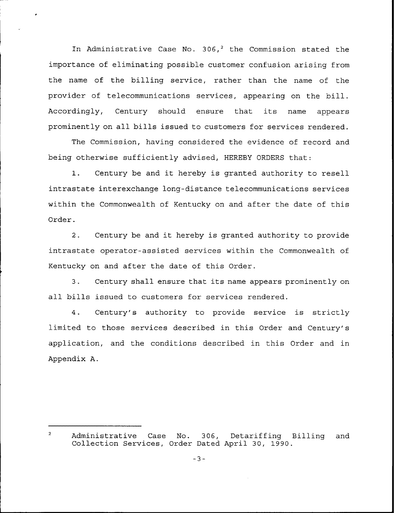In Administrative Case No. 306,<sup>2</sup> the Commission stated the importance of eliminating possible customer confusion arising from the name of the billing service, rather than the name of the provider of telecommunications services, appearing on the bill. Accordingly, Century should ensure that its name appears prominently on all bills issued to customers for services rendered.

The Commission, having considered the evidence of record and being otherwise sufficiently advised, HEREBY ORDERS that:

1. Century be and it hereby is granted authority to resell intrastate interexchange long-distance telecommunications services within the Commonwealth of Kentucky on and after the date of this Order.

2. Century be and it hereby is granted authority to provide intrastate operator-assisted services within the Commonwealth of Kentucky on and after the date of this Order.

3. Century shall ensure that its name appears prominently on all bills issued to customers for services rendered.

4. Century's authority to provide service is strictly limited to those services described in this Order and Century's application, and the conditions described in this Order and in Appendix A.

 $\overline{2}$ Administrative Case No. 306, Detariffing Billing and Collection Services, Order Dated April 30, 1990.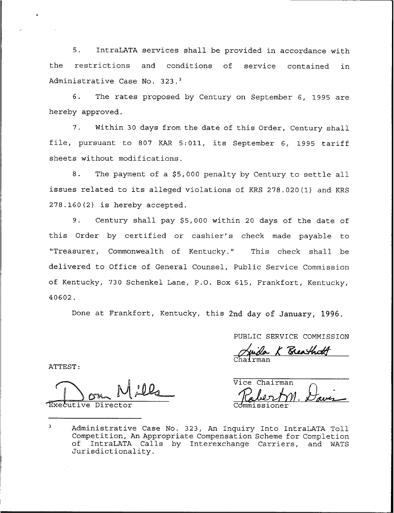IntraLATA services shall be provided in accordance with  $5.$ the restrictions and conditions of service contained in Administrative Case No. 323.<sup>3</sup>

6. The rates proposed by Century on September 6, 1995 are hereby approved.

7. Within 30 days from the date of this Order, Century shall file, pursuant to <sup>807</sup> KAR 5:011, its September 6, 1995 tariff sheets without modifications.

8. The payment of a \$5,000 penalty by Century to settle all issues related to its alleged violations of KRS 278.020(1) and KRS 278.160(2) is hereby accepted.

9. Century shall pay \$5,000 within 20 days of the date of this Order by certified or cashier's check made payable to "Treasurer, Commonwealth of Kentucky." This check shall be delivered to Office of General Counsel, Public Service Commission of Kentucky, 730 Schenkel Lane, P.O. Box 615, Frankfort, Kentucky, 40602.

Done at Frankfort, Kentucky, this 2nd day of January, 1996.

PUBLIC SERVICE COMMISSION

Chairma

ATTEST:

Executive Direo

Vice Chairman

 $\overline{\mathbf{3}}$ Administrative Case No. 323, An Inquiry Into IntraLATA Toll Competition, An Appropriate Compensation Scheme for Completion of IntraLATA Calls by Interexchange Carriers, and WATS Jurisdictionality.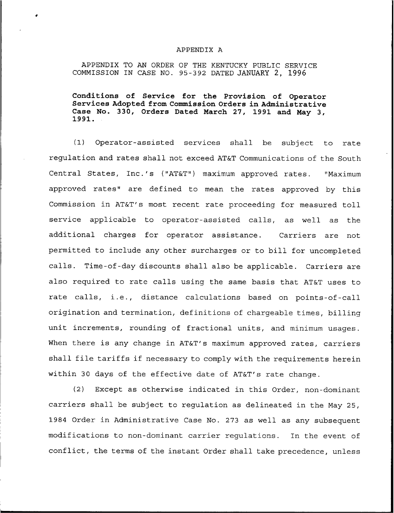## APPENDIX A

APPENDIX TO AN ORDER OF THE KENTUCKY PUBLIC SERVICE COMMISSION IN CASE NO. 95-392 DATED JANUARY 2, 1996

Conditions of Service for the Provision of Operator Services Adopted from Commission Orders in Administrative Case No. 330, Orders Dated March 27, 1991 and May 3,<br>1991.

(1) Operator-assisted services shall be subject to rate regulation and rates shall not exceed AT&T Communications of the South Central States, Inc.'s ("AT&T") maximum approved rates. "Maximum approved rates" are defined to mean the rates approved by this Commission in AT&T's most recent rate proceeding for measured toll service applicable to operator-assisted calls, as well as the additional charges for operator assistance. Carriers are not permitted to include any other surcharges or to bill for uncompleted calls. Time-of-day discounts shall also be applicable. Carriers are also required to rate calls using the same basis that AT&T uses to rate calls, i.e., distance calculations based on points-of-call origination and termination, definitions of chargeable times, billing unit increments, rounding of fractional units, and minimum usages. When there is any change in AT&T's maximum approved rates, carriers shall file tariffs if necessary to comply with the requirements herein within 30 days of the effective date of AT&T's rate change.

(2) Except as otherwise indicated in this Order, non-dominant carriers shall be subject to regulation as delineated in the May 25, 1984 Order in Administrative Case No. 273 as well as any subsequent modifications to non-dominant carrier regulations. In the event of conflict, the terms of the instant Order shall take precedence, unless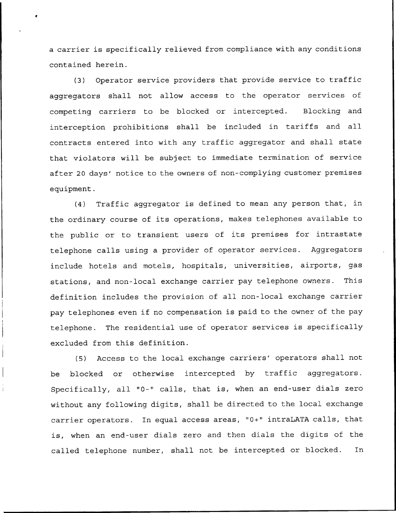a carrier is specifically relieved from compliance with any conditions contained herein.

(3) Operator service providers that provide service to traffic aggregators shall not allow access to the operator services of competing carriers to be blocked or intercepted. Blocking and interception prohibitions shall be included in tariffs and all contracts entered into with any traffic aggregator and shall state that violators will be subject to immediate termination of service after 20 days' notice to the owners of non-complying customer premises equipment.

(4) Traffic aggregator is defined to mean any person that, in the ordinary course of its operations, makes telephones available to the public or to transient users of its premises for intrastate telephone calls using a provider of operator services. Aggregators include hotels and motels, hospitals, universities, airports, gas stations, and non-local exchange carrier pay telephone owners. This definition includes the provision of all non-local exchange carrier pay telephones even if no compensation is paid to the owner of the pay telephone. The residential use of operator services is specifically excluded from this definition.

(5) Access to the local exchange carriers' operators shall not be blocked or otherwise intercepted by traffic aggregators. Specifically, all "0-" calls, that is, when an end-user dials zero without any following digits, shall be directed to the local exchange carrier operators. In equal access areas, "0+" intraLATA calls, that is, when an end-user dials zero and then dials the digits of the called telephone number, shall not be intercepted or blocked. In